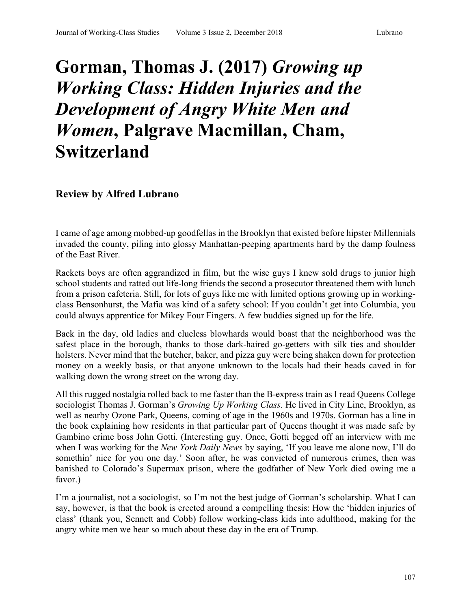## **Gorman, Thomas J. (2017)** *Growing up Working Class: Hidden Injuries and the Development of Angry White Men and Women***, Palgrave Macmillan, Cham, Switzerland**

## **Review by Alfred Lubrano**

I came of age among mobbed-up goodfellas in the Brooklyn that existed before hipster Millennials invaded the county, piling into glossy Manhattan-peeping apartments hard by the damp foulness of the East River.

Rackets boys are often aggrandized in film, but the wise guys I knew sold drugs to junior high school students and ratted out life-long friends the second a prosecutor threatened them with lunch from a prison cafeteria. Still, for lots of guys like me with limited options growing up in workingclass Bensonhurst, the Mafia was kind of a safety school: If you couldn't get into Columbia, you could always apprentice for Mikey Four Fingers. A few buddies signed up for the life.

Back in the day, old ladies and clueless blowhards would boast that the neighborhood was the safest place in the borough, thanks to those dark-haired go-getters with silk ties and shoulder holsters. Never mind that the butcher, baker, and pizza guy were being shaken down for protection money on a weekly basis, or that anyone unknown to the locals had their heads caved in for walking down the wrong street on the wrong day.

All this rugged nostalgia rolled back to me faster than the B-express train as I read Queens College sociologist Thomas J. Gorman's *Growing Up Working Class*. He lived in City Line, Brooklyn, as well as nearby Ozone Park, Queens, coming of age in the 1960s and 1970s. Gorman has a line in the book explaining how residents in that particular part of Queens thought it was made safe by Gambino crime boss John Gotti. (Interesting guy. Once, Gotti begged off an interview with me when I was working for the *New York Daily News* by saying, 'If you leave me alone now, I'll do somethin' nice for you one day.' Soon after, he was convicted of numerous crimes, then was banished to Colorado's Supermax prison, where the godfather of New York died owing me a favor.)

I'm a journalist, not a sociologist, so I'm not the best judge of Gorman's scholarship. What I can say, however, is that the book is erected around a compelling thesis: How the 'hidden injuries of class' (thank you, Sennett and Cobb) follow working-class kids into adulthood, making for the angry white men we hear so much about these day in the era of Trump.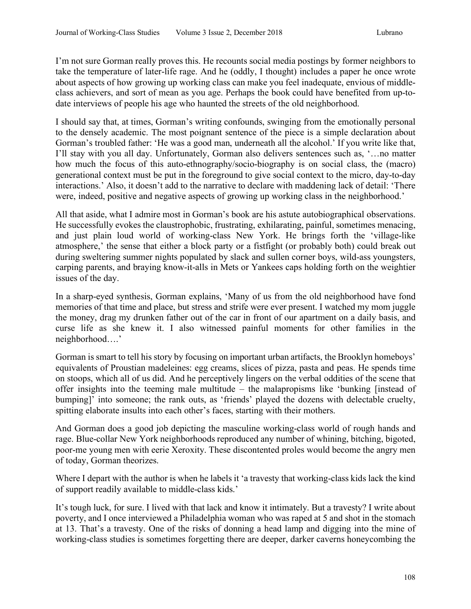I'm not sure Gorman really proves this. He recounts social media postings by former neighbors to take the temperature of later-life rage. And he (oddly, I thought) includes a paper he once wrote about aspects of how growing up working class can make you feel inadequate, envious of middleclass achievers, and sort of mean as you age. Perhaps the book could have benefited from up-todate interviews of people his age who haunted the streets of the old neighborhood.

I should say that, at times, Gorman's writing confounds, swinging from the emotionally personal to the densely academic. The most poignant sentence of the piece is a simple declaration about Gorman's troubled father: 'He was a good man, underneath all the alcohol.' If you write like that, I'll stay with you all day. Unfortunately, Gorman also delivers sentences such as, '…no matter how much the focus of this auto-ethnography/socio-biography is on social class, the (macro) generational context must be put in the foreground to give social context to the micro, day-to-day interactions.' Also, it doesn't add to the narrative to declare with maddening lack of detail: 'There were, indeed, positive and negative aspects of growing up working class in the neighborhood.'

All that aside, what I admire most in Gorman's book are his astute autobiographical observations. He successfully evokes the claustrophobic, frustrating, exhilarating, painful, sometimes menacing, and just plain loud world of working-class New York. He brings forth the 'village-like atmosphere,' the sense that either a block party or a fistfight (or probably both) could break out during sweltering summer nights populated by slack and sullen corner boys, wild-ass youngsters, carping parents, and braying know-it-alls in Mets or Yankees caps holding forth on the weightier issues of the day.

In a sharp-eyed synthesis, Gorman explains, 'Many of us from the old neighborhood have fond memories of that time and place, but stress and strife were ever present. I watched my mom juggle the money, drag my drunken father out of the car in front of our apartment on a daily basis, and curse life as she knew it. I also witnessed painful moments for other families in the neighborhood….'

Gorman is smart to tell his story by focusing on important urban artifacts, the Brooklyn homeboys' equivalents of Proustian madeleines: egg creams, slices of pizza, pasta and peas. He spends time on stoops, which all of us did. And he perceptively lingers on the verbal oddities of the scene that offer insights into the teeming male multitude – the malapropisms like 'bunking [instead of bumping]' into someone; the rank outs, as 'friends' played the dozens with delectable cruelty, spitting elaborate insults into each other's faces, starting with their mothers.

And Gorman does a good job depicting the masculine working-class world of rough hands and rage. Blue-collar New York neighborhoods reproduced any number of whining, bitching, bigoted, poor-me young men with eerie Xeroxity. These discontented proles would become the angry men of today, Gorman theorizes.

Where I depart with the author is when he labels it 'a travesty that working-class kids lack the kind of support readily available to middle-class kids.'

It's tough luck, for sure. I lived with that lack and know it intimately. But a travesty? I write about poverty, and I once interviewed a Philadelphia woman who was raped at 5 and shot in the stomach at 13. That's a travesty. One of the risks of donning a head lamp and digging into the mine of working-class studies is sometimes forgetting there are deeper, darker caverns honeycombing the